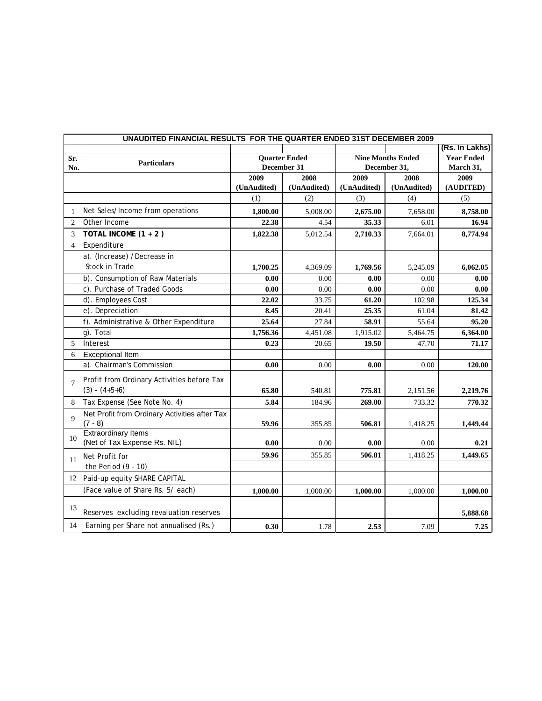|                | UNAUDITED FINANCIAL RESULTS FOR THE QUARTER ENDED 31ST DECEMBER 2009 |                                     |             |                                          |             |                   |  |
|----------------|----------------------------------------------------------------------|-------------------------------------|-------------|------------------------------------------|-------------|-------------------|--|
|                |                                                                      |                                     |             |                                          |             | (Rs. In Lakhs)    |  |
| Sr.            | <b>Particulars</b>                                                   | <b>Quarter Ended</b><br>December 31 |             | <b>Nine Months Ended</b><br>December 31, |             | <b>Year Ended</b> |  |
| No.            |                                                                      |                                     |             |                                          |             | March 31,         |  |
|                |                                                                      | 2009                                | 2008        | 2009                                     | 2008        | 2009              |  |
|                |                                                                      | (UnAudited)                         | (UnAudited) | (UnAudited)                              | (UnAudited) | (AUDITED)         |  |
|                |                                                                      | (1)                                 | (2)         | (3)                                      | (4)         | (5)               |  |
| 1              | Net Sales/Income from operations                                     | 1,800.00                            | 5,008.00    | 2,675.00                                 | 7,658.00    | 8,758.00          |  |
| 2              | Other Income                                                         | 22.38                               | 4.54        | 35.33                                    | 6.01        | 16.94             |  |
| 3              | TOTAL INCOME (1 + 2)                                                 | 1,822.38                            | 5,012.54    | 2,710.33                                 | 7,664.01    | 8,774.94          |  |
| $\overline{4}$ | Expenditure                                                          |                                     |             |                                          |             |                   |  |
|                | a). (Increase) /Decrease in                                          |                                     |             |                                          |             |                   |  |
|                | Stock in Trade                                                       | 1,700.25                            | 4,369.09    | 1,769.56                                 | 5,245.09    | 6,062.05          |  |
|                | b). Consumption of Raw Materials                                     | 0.00                                | 0.00        | 0.00                                     | 0.00        | 0.00              |  |
|                | c). Purchase of Traded Goods                                         | 0.00                                | 0.00        | 0.00                                     | 0.00        | 0.00              |  |
|                | d). Employees Cost                                                   | 22.02                               | 33.75       | 61.20                                    | 102.98      | 125.34            |  |
|                | e). Depreciation                                                     | 8.45                                | 20.41       | 25.35                                    | 61.04       | 81.42             |  |
|                | f). Administrative & Other Expenditure                               | 25.64                               | 27.84       | 58.91                                    | 55.64       | 95.20             |  |
|                | g). Total                                                            | 1,756.36                            | 4,451.08    | 1,915.02                                 | 5,464.75    | 6,364.00          |  |
| 5              | Interest                                                             | 0.23                                | 20.65       | 19.50                                    | 47.70       | 71.17             |  |
| 6              | <b>Exceptional Item</b>                                              |                                     |             |                                          |             |                   |  |
|                | a). Chairman's Commission                                            | 0.00                                | 0.00        | 0.00                                     | 0.00        | 120.00            |  |
|                | Profit from Ordinary Activities before Tax                           |                                     |             |                                          |             |                   |  |
| $\overline{7}$ | $(3) - (4+5+6)$                                                      | 65.80                               | 540.81      | 775.81                                   | 2,151.56    | 2,219.76          |  |
| 8              | Tax Expense (See Note No. 4)                                         | 5.84                                | 184.96      | 269.00                                   | 733.32      | 770.32            |  |
|                | Net Profit from Ordinary Activities after Tax                        |                                     |             |                                          |             |                   |  |
| $\mathbf Q$    | $(7 - 8)$                                                            | 59.96                               | 355.85      | 506.81                                   | 1,418.25    | 1,449.44          |  |
|                | <b>Extraordinary Items</b>                                           |                                     |             |                                          |             |                   |  |
| 10             | (Net of Tax Expense Rs. NIL)                                         | 0.00                                | 0.00        | 0.00                                     | 0.00        | 0.21              |  |
|                | Net Profit for                                                       | 59.96                               | 355.85      | 506.81                                   | 1,418.25    | 1,449.65          |  |
| 11             | the Period $(9 - 10)$                                                |                                     |             |                                          |             |                   |  |
| 12             | Paid-up equity SHARE CAPITAL                                         |                                     |             |                                          |             |                   |  |
|                | (Face value of Share Rs. 5/ each)                                    |                                     |             |                                          |             |                   |  |
|                |                                                                      | 1,000.00                            | 1,000.00    | 1,000.00                                 | 1,000.00    | 1,000.00          |  |
| 13             |                                                                      |                                     |             |                                          |             |                   |  |
|                | Reserves excluding revaluation reserves                              |                                     |             |                                          |             | 5,888.68          |  |
| 14             | Earning per Share not annualised (Rs.)                               | 0.30                                | 1.78        | 2.53                                     | 7.09        | 7.25              |  |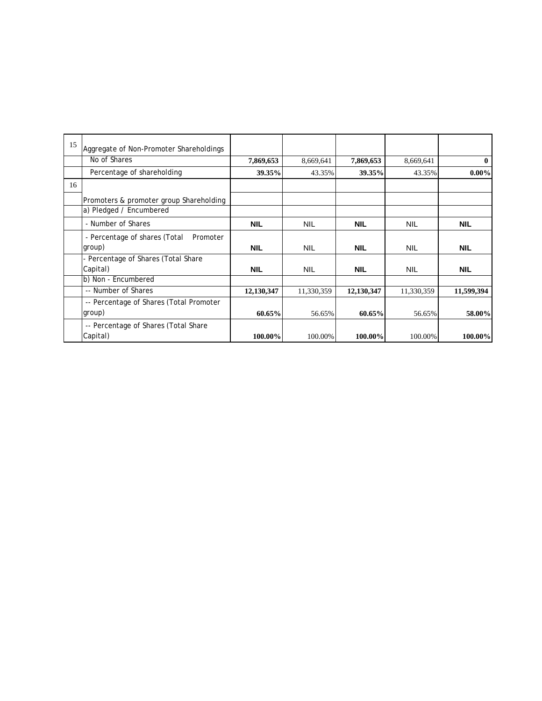| 15 | Aggregate of Non-Promoter Shareholdings                            |            |            |            |            |            |
|----|--------------------------------------------------------------------|------------|------------|------------|------------|------------|
|    | No of Shares                                                       | 7,869,653  | 8,669,641  | 7,869,653  | 8,669,641  | $\bf{0}$   |
|    | Percentage of shareholding                                         | 39.35%     | 43.35%     | 39.35%     | 43.35%     | $0.00\%$   |
| 16 |                                                                    |            |            |            |            |            |
|    | Promoters & promoter group Shareholding<br>a) Pledged / Encumbered |            |            |            |            |            |
|    | - Number of Shares                                                 |            |            |            |            |            |
|    |                                                                    | <b>NIL</b> | <b>NIL</b> | <b>NIL</b> | <b>NIL</b> | <b>NIL</b> |
|    | - Percentage of shares (Total<br>Promoter                          |            |            |            |            |            |
|    | group)                                                             | <b>NIL</b> | <b>NIL</b> | <b>NIL</b> | <b>NIL</b> | <b>NIL</b> |
|    | - Percentage of Shares (Total Share                                |            |            |            |            |            |
|    | Capital)                                                           | <b>NIL</b> | <b>NIL</b> | <b>NIL</b> | <b>NIL</b> | <b>NIL</b> |
|    | b) Non - Encumbered                                                |            |            |            |            |            |
|    | -- Number of Shares                                                | 12,130,347 | 11,330,359 | 12,130,347 | 11,330,359 | 11,599,394 |
|    | -- Percentage of Shares (Total Promoter                            |            |            |            |            |            |
|    | group)                                                             | 60.65%     | 56.65%     | 60.65%     | 56.65%     | 58.00%     |
|    | -- Percentage of Shares (Total Share                               |            |            |            |            |            |
|    | Capital)                                                           | 100.00%    | 100.00%    | 100.00%    | 100.00%    | 100.00%    |